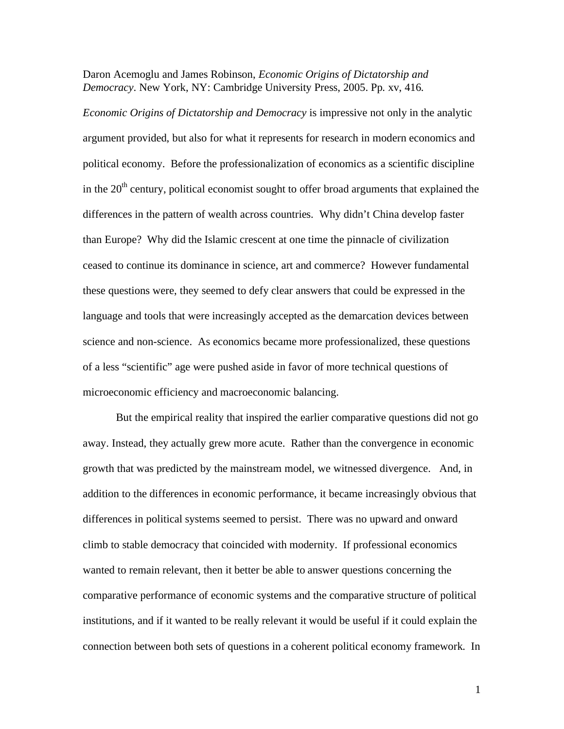Daron Acemoglu and James Robinson, *Economic Origins of Dictatorship and Democracy*. New York, NY: Cambridge University Press, 2005. Pp. xv, 416.

*Economic Origins of Dictatorship and Democracy* is impressive not only in the analytic argument provided, but also for what it represents for research in modern economics and political economy. Before the professionalization of economics as a scientific discipline in the  $20<sup>th</sup>$  century, political economist sought to offer broad arguments that explained the differences in the pattern of wealth across countries. Why didn't China develop faster than Europe? Why did the Islamic crescent at one time the pinnacle of civilization ceased to continue its dominance in science, art and commerce? However fundamental these questions were, they seemed to defy clear answers that could be expressed in the language and tools that were increasingly accepted as the demarcation devices between science and non-science. As economics became more professionalized, these questions of a less "scientific" age were pushed aside in favor of more technical questions of microeconomic efficiency and macroeconomic balancing.

 But the empirical reality that inspired the earlier comparative questions did not go away. Instead, they actually grew more acute. Rather than the convergence in economic growth that was predicted by the mainstream model, we witnessed divergence. And, in addition to the differences in economic performance, it became increasingly obvious that differences in political systems seemed to persist. There was no upward and onward climb to stable democracy that coincided with modernity. If professional economics wanted to remain relevant, then it better be able to answer questions concerning the comparative performance of economic systems and the comparative structure of political institutions, and if it wanted to be really relevant it would be useful if it could explain the connection between both sets of questions in a coherent political economy framework. In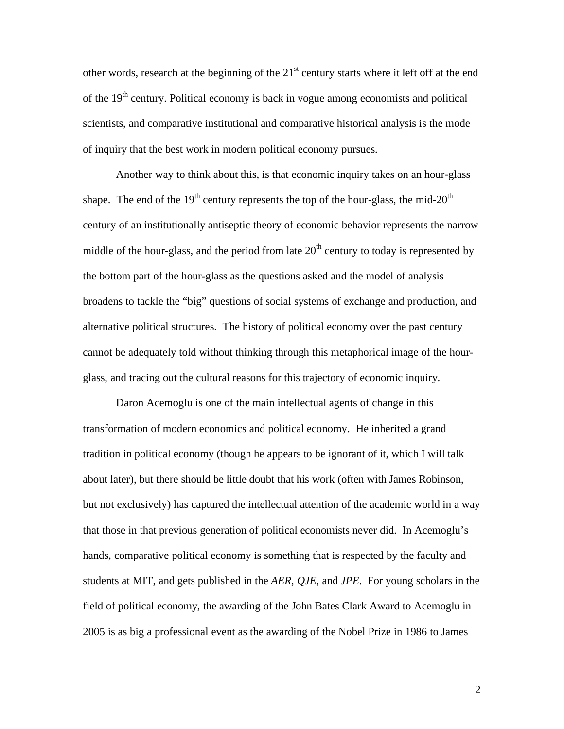other words, research at the beginning of the  $21<sup>st</sup>$  century starts where it left off at the end of the 19<sup>th</sup> century. Political economy is back in vogue among economists and political scientists, and comparative institutional and comparative historical analysis is the mode of inquiry that the best work in modern political economy pursues.

 Another way to think about this, is that economic inquiry takes on an hour-glass shape. The end of the  $19<sup>th</sup>$  century represents the top of the hour-glass, the mid- $20<sup>th</sup>$ century of an institutionally antiseptic theory of economic behavior represents the narrow middle of the hour-glass, and the period from late  $20<sup>th</sup>$  century to today is represented by the bottom part of the hour-glass as the questions asked and the model of analysis broadens to tackle the "big" questions of social systems of exchange and production, and alternative political structures. The history of political economy over the past century cannot be adequately told without thinking through this metaphorical image of the hourglass, and tracing out the cultural reasons for this trajectory of economic inquiry.

 Daron Acemoglu is one of the main intellectual agents of change in this transformation of modern economics and political economy. He inherited a grand tradition in political economy (though he appears to be ignorant of it, which I will talk about later), but there should be little doubt that his work (often with James Robinson, but not exclusively) has captured the intellectual attention of the academic world in a way that those in that previous generation of political economists never did. In Acemoglu's hands, comparative political economy is something that is respected by the faculty and students at MIT, and gets published in the *AER*, *QJE*, and *JPE*. For young scholars in the field of political economy, the awarding of the John Bates Clark Award to Acemoglu in 2005 is as big a professional event as the awarding of the Nobel Prize in 1986 to James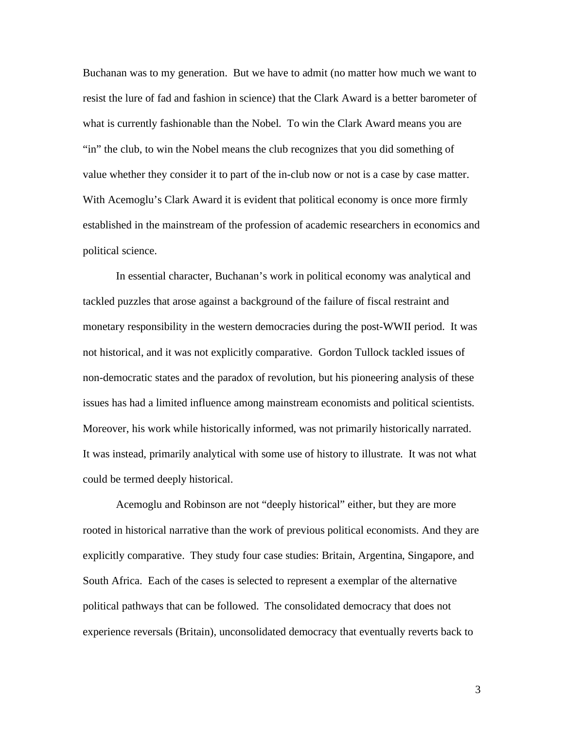Buchanan was to my generation. But we have to admit (no matter how much we want to resist the lure of fad and fashion in science) that the Clark Award is a better barometer of what is currently fashionable than the Nobel. To win the Clark Award means you are "in" the club, to win the Nobel means the club recognizes that you did something of value whether they consider it to part of the in-club now or not is a case by case matter. With Acemoglu's Clark Award it is evident that political economy is once more firmly established in the mainstream of the profession of academic researchers in economics and political science.

 In essential character, Buchanan's work in political economy was analytical and tackled puzzles that arose against a background of the failure of fiscal restraint and monetary responsibility in the western democracies during the post-WWII period. It was not historical, and it was not explicitly comparative. Gordon Tullock tackled issues of non-democratic states and the paradox of revolution, but his pioneering analysis of these issues has had a limited influence among mainstream economists and political scientists. Moreover, his work while historically informed, was not primarily historically narrated. It was instead, primarily analytical with some use of history to illustrate. It was not what could be termed deeply historical.

 Acemoglu and Robinson are not "deeply historical" either, but they are more rooted in historical narrative than the work of previous political economists. And they are explicitly comparative. They study four case studies: Britain, Argentina, Singapore, and South Africa. Each of the cases is selected to represent a exemplar of the alternative political pathways that can be followed. The consolidated democracy that does not experience reversals (Britain), unconsolidated democracy that eventually reverts back to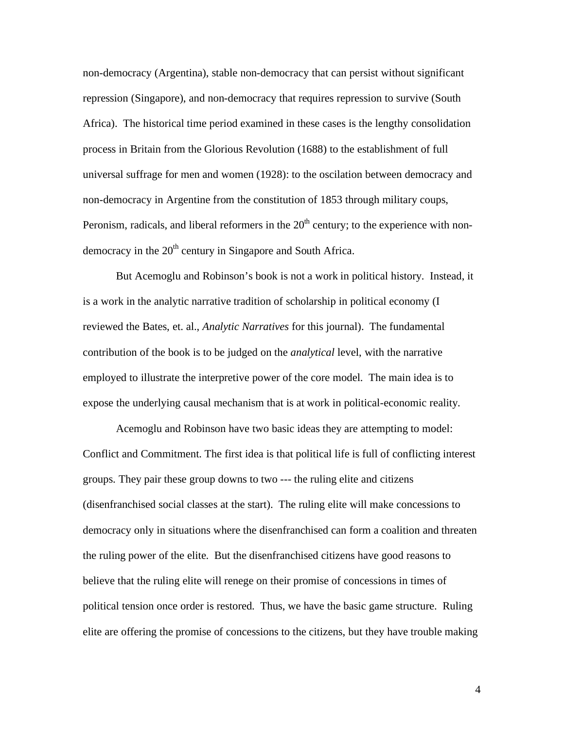non-democracy (Argentina), stable non-democracy that can persist without significant repression (Singapore), and non-democracy that requires repression to survive (South Africa). The historical time period examined in these cases is the lengthy consolidation process in Britain from the Glorious Revolution (1688) to the establishment of full universal suffrage for men and women (1928): to the oscilation between democracy and non-democracy in Argentine from the constitution of 1853 through military coups, Peronism, radicals, and liberal reformers in the  $20<sup>th</sup>$  century; to the experience with nondemocracy in the  $20<sup>th</sup>$  century in Singapore and South Africa.

 But Acemoglu and Robinson's book is not a work in political history. Instead, it is a work in the analytic narrative tradition of scholarship in political economy (I reviewed the Bates, et. al., *Analytic Narratives* for this journal). The fundamental contribution of the book is to be judged on the *analytical* level, with the narrative employed to illustrate the interpretive power of the core model. The main idea is to expose the underlying causal mechanism that is at work in political-economic reality.

 Acemoglu and Robinson have two basic ideas they are attempting to model: Conflict and Commitment. The first idea is that political life is full of conflicting interest groups. They pair these group downs to two --- the ruling elite and citizens (disenfranchised social classes at the start). The ruling elite will make concessions to democracy only in situations where the disenfranchised can form a coalition and threaten the ruling power of the elite. But the disenfranchised citizens have good reasons to believe that the ruling elite will renege on their promise of concessions in times of political tension once order is restored. Thus, we have the basic game structure. Ruling elite are offering the promise of concessions to the citizens, but they have trouble making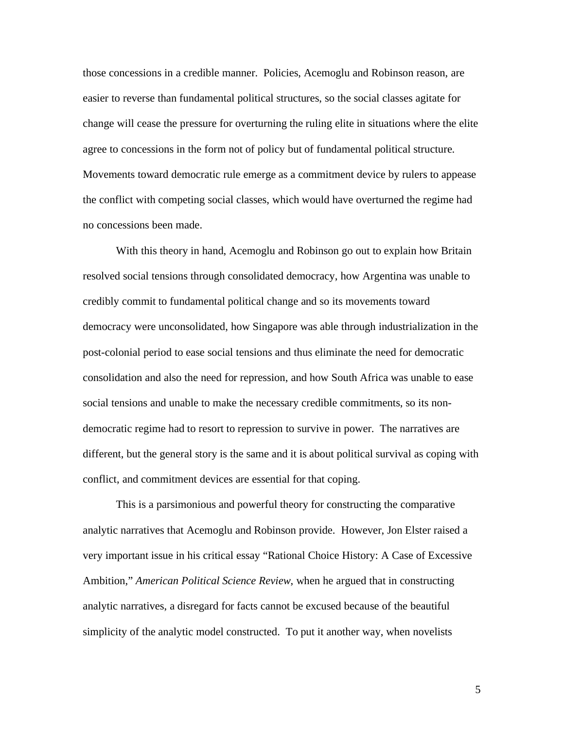those concessions in a credible manner. Policies, Acemoglu and Robinson reason, are easier to reverse than fundamental political structures, so the social classes agitate for change will cease the pressure for overturning the ruling elite in situations where the elite agree to concessions in the form not of policy but of fundamental political structure. Movements toward democratic rule emerge as a commitment device by rulers to appease the conflict with competing social classes, which would have overturned the regime had no concessions been made.

 With this theory in hand, Acemoglu and Robinson go out to explain how Britain resolved social tensions through consolidated democracy, how Argentina was unable to credibly commit to fundamental political change and so its movements toward democracy were unconsolidated, how Singapore was able through industrialization in the post-colonial period to ease social tensions and thus eliminate the need for democratic consolidation and also the need for repression, and how South Africa was unable to ease social tensions and unable to make the necessary credible commitments, so its nondemocratic regime had to resort to repression to survive in power. The narratives are different, but the general story is the same and it is about political survival as coping with conflict, and commitment devices are essential for that coping.

 This is a parsimonious and powerful theory for constructing the comparative analytic narratives that Acemoglu and Robinson provide. However, Jon Elster raised a very important issue in his critical essay "Rational Choice History: A Case of Excessive Ambition," *American Political Science Review*, when he argued that in constructing analytic narratives, a disregard for facts cannot be excused because of the beautiful simplicity of the analytic model constructed. To put it another way, when novelists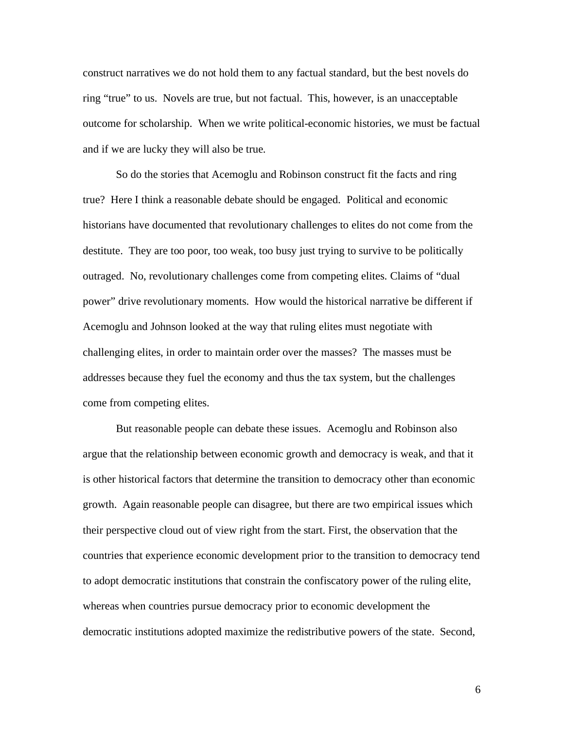construct narratives we do not hold them to any factual standard, but the best novels do ring "true" to us. Novels are true, but not factual. This, however, is an unacceptable outcome for scholarship. When we write political-economic histories, we must be factual and if we are lucky they will also be true.

 So do the stories that Acemoglu and Robinson construct fit the facts and ring true? Here I think a reasonable debate should be engaged. Political and economic historians have documented that revolutionary challenges to elites do not come from the destitute. They are too poor, too weak, too busy just trying to survive to be politically outraged. No, revolutionary challenges come from competing elites. Claims of "dual power" drive revolutionary moments. How would the historical narrative be different if Acemoglu and Johnson looked at the way that ruling elites must negotiate with challenging elites, in order to maintain order over the masses? The masses must be addresses because they fuel the economy and thus the tax system, but the challenges come from competing elites.

 But reasonable people can debate these issues. Acemoglu and Robinson also argue that the relationship between economic growth and democracy is weak, and that it is other historical factors that determine the transition to democracy other than economic growth. Again reasonable people can disagree, but there are two empirical issues which their perspective cloud out of view right from the start. First, the observation that the countries that experience economic development prior to the transition to democracy tend to adopt democratic institutions that constrain the confiscatory power of the ruling elite, whereas when countries pursue democracy prior to economic development the democratic institutions adopted maximize the redistributive powers of the state. Second,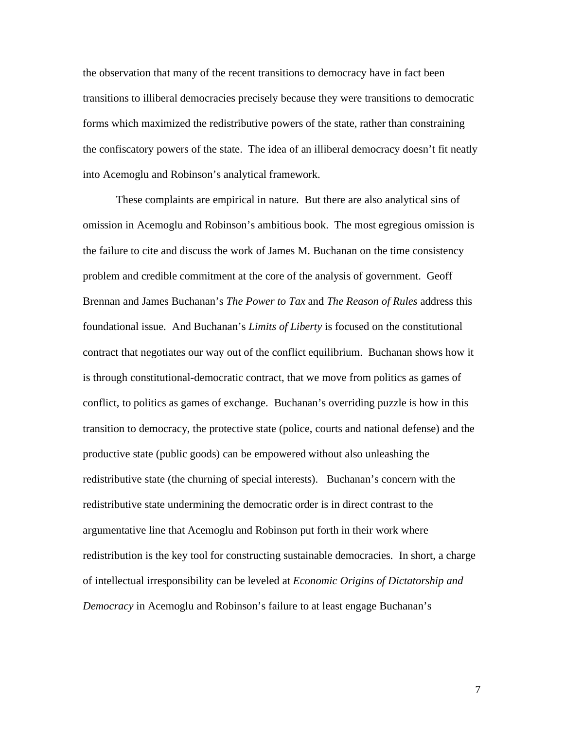the observation that many of the recent transitions to democracy have in fact been transitions to illiberal democracies precisely because they were transitions to democratic forms which maximized the redistributive powers of the state, rather than constraining the confiscatory powers of the state. The idea of an illiberal democracy doesn't fit neatly into Acemoglu and Robinson's analytical framework.

 These complaints are empirical in nature. But there are also analytical sins of omission in Acemoglu and Robinson's ambitious book. The most egregious omission is the failure to cite and discuss the work of James M. Buchanan on the time consistency problem and credible commitment at the core of the analysis of government. Geoff Brennan and James Buchanan's *The Power to Tax* and *The Reason of Rules* address this foundational issue. And Buchanan's *Limits of Liberty* is focused on the constitutional contract that negotiates our way out of the conflict equilibrium. Buchanan shows how it is through constitutional-democratic contract, that we move from politics as games of conflict, to politics as games of exchange. Buchanan's overriding puzzle is how in this transition to democracy, the protective state (police, courts and national defense) and the productive state (public goods) can be empowered without also unleashing the redistributive state (the churning of special interests). Buchanan's concern with the redistributive state undermining the democratic order is in direct contrast to the argumentative line that Acemoglu and Robinson put forth in their work where redistribution is the key tool for constructing sustainable democracies. In short, a charge of intellectual irresponsibility can be leveled at *Economic Origins of Dictatorship and Democracy* in Acemoglu and Robinson's failure to at least engage Buchanan's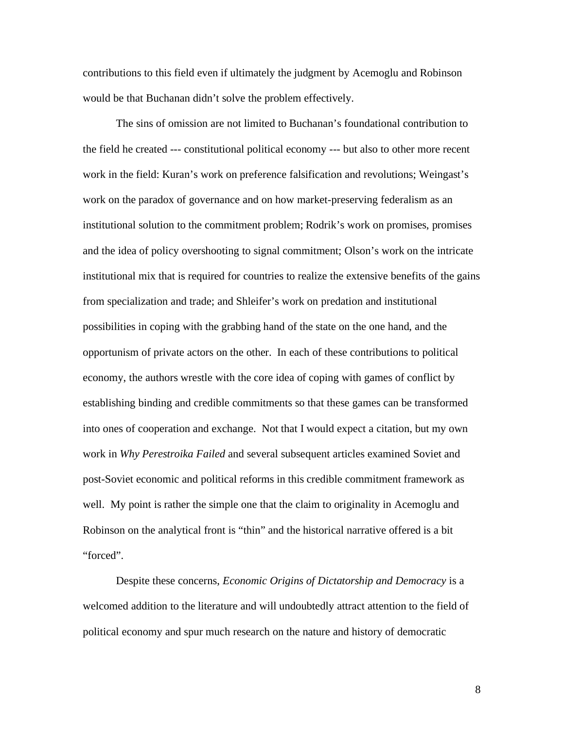contributions to this field even if ultimately the judgment by Acemoglu and Robinson would be that Buchanan didn't solve the problem effectively.

 The sins of omission are not limited to Buchanan's foundational contribution to the field he created --- constitutional political economy --- but also to other more recent work in the field: Kuran's work on preference falsification and revolutions; Weingast's work on the paradox of governance and on how market-preserving federalism as an institutional solution to the commitment problem; Rodrik's work on promises, promises and the idea of policy overshooting to signal commitment; Olson's work on the intricate institutional mix that is required for countries to realize the extensive benefits of the gains from specialization and trade; and Shleifer's work on predation and institutional possibilities in coping with the grabbing hand of the state on the one hand, and the opportunism of private actors on the other. In each of these contributions to political economy, the authors wrestle with the core idea of coping with games of conflict by establishing binding and credible commitments so that these games can be transformed into ones of cooperation and exchange. Not that I would expect a citation, but my own work in *Why Perestroika Failed* and several subsequent articles examined Soviet and post-Soviet economic and political reforms in this credible commitment framework as well. My point is rather the simple one that the claim to originality in Acemoglu and Robinson on the analytical front is "thin" and the historical narrative offered is a bit "forced".

 Despite these concerns, *Economic Origins of Dictatorship and Democracy* is a welcomed addition to the literature and will undoubtedly attract attention to the field of political economy and spur much research on the nature and history of democratic